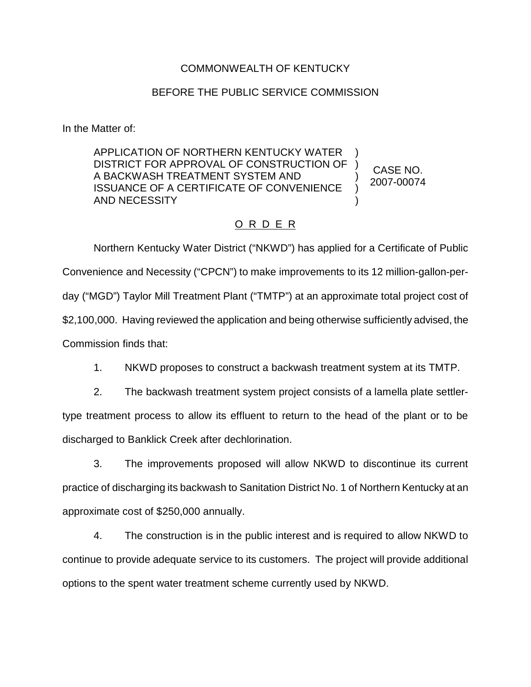## COMMONWEALTH OF KENTUCKY

## BEFORE THE PUBLIC SERVICE COMMISSION

In the Matter of:

APPLICATION OF NORTHERN KENTUCKY WATER DISTRICT FOR APPROVAL OF CONSTRUCTION OF A BACKWASH TREATMENT SYSTEM AND ISSUANCE OF A CERTIFICATE OF CONVENIENCE AND NECESSITY ) ) ) ) ) CASE NO. 2007-00074

## O R D E R

Northern Kentucky Water District ("NKWD") has applied for a Certificate of Public Convenience and Necessity ("CPCN") to make improvements to its 12 million-gallon-perday ("MGD") Taylor Mill Treatment Plant ("TMTP") at an approximate total project cost of \$2,100,000. Having reviewed the application and being otherwise sufficiently advised, the Commission finds that:

1. NKWD proposes to construct a backwash treatment system at its TMTP.

2. The backwash treatment system project consists of a lamella plate settlertype treatment process to allow its effluent to return to the head of the plant or to be discharged to Banklick Creek after dechlorination.

3. The improvements proposed will allow NKWD to discontinue its current practice of discharging its backwash to Sanitation District No. 1 of Northern Kentucky at an approximate cost of \$250,000 annually.

4. The construction is in the public interest and is required to allow NKWD to continue to provide adequate service to its customers. The project will provide additional options to the spent water treatment scheme currently used by NKWD.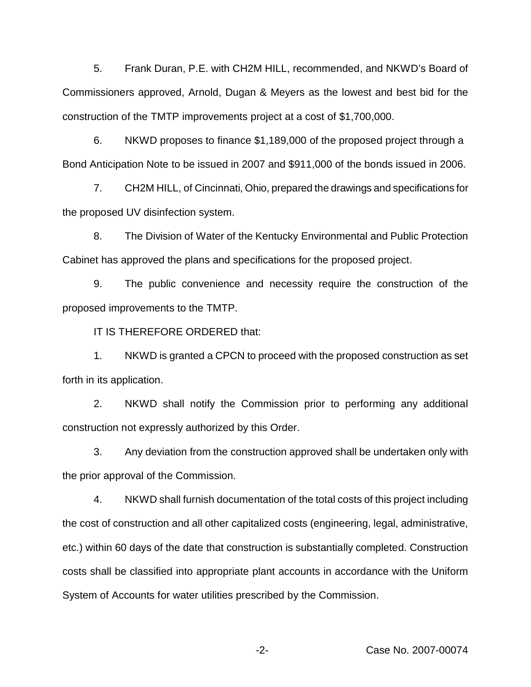5. Frank Duran, P.E. with CH2M HILL, recommended, and NKWD's Board of Commissioners approved, Arnold, Dugan & Meyers as the lowest and best bid for the construction of the TMTP improvements project at a cost of \$1,700,000.

6. NKWD proposes to finance \$1,189,000 of the proposed project through a Bond Anticipation Note to be issued in 2007 and \$911,000 of the bonds issued in 2006.

7. CH2M HILL, of Cincinnati, Ohio, prepared the drawings and specifications for the proposed UV disinfection system.

8. The Division of Water of the Kentucky Environmental and Public Protection Cabinet has approved the plans and specifications for the proposed project.

9. The public convenience and necessity require the construction of the proposed improvements to the TMTP.

IT IS THEREFORE ORDERED that:

1. NKWD is granted a CPCN to proceed with the proposed construction as set forth in its application.

2. NKWD shall notify the Commission prior to performing any additional construction not expressly authorized by this Order.

3. Any deviation from the construction approved shall be undertaken only with the prior approval of the Commission.

4. NKWD shall furnish documentation of the total costs of this project including the cost of construction and all other capitalized costs (engineering, legal, administrative, etc.) within 60 days of the date that construction is substantially completed. Construction costs shall be classified into appropriate plant accounts in accordance with the Uniform System of Accounts for water utilities prescribed by the Commission.